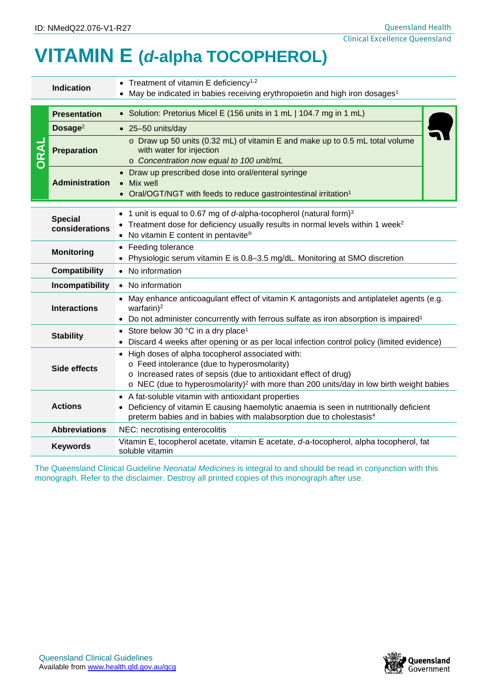## **VITAMIN E (***d***-alpha TOCOPHEROL)**

|                      | Indication                                                                                                                                                                                                                                                                                     | • Treatment of vitamin E deficiency <sup>1,2</sup><br>• May be indicated in babies receiving erythropoietin and high iron dosages <sup>1</sup>                                                                                  |  |  |  |  |
|----------------------|------------------------------------------------------------------------------------------------------------------------------------------------------------------------------------------------------------------------------------------------------------------------------------------------|---------------------------------------------------------------------------------------------------------------------------------------------------------------------------------------------------------------------------------|--|--|--|--|
| <b>RAL</b>           | <b>Presentation</b>                                                                                                                                                                                                                                                                            | • Solution: Pretorius Micel E (156 units in 1 mL   104.7 mg in 1 mL)                                                                                                                                                            |  |  |  |  |
|                      | Dosage $2$                                                                                                                                                                                                                                                                                     | $\bullet$ 25-50 units/day                                                                                                                                                                                                       |  |  |  |  |
|                      | <b>Preparation</b>                                                                                                                                                                                                                                                                             | o Draw up 50 units (0.32 mL) of vitamin E and make up to 0.5 mL total volume<br>with water for injection<br>o Concentration now equal to 100 unit/mL                                                                            |  |  |  |  |
|                      | <b>Administration</b>                                                                                                                                                                                                                                                                          | • Draw up prescribed dose into oral/enteral syringe<br>Mix well<br>$\bullet$<br>• Oral/OGT/NGT with feeds to reduce gastrointestinal irritation <sup>1</sup>                                                                    |  |  |  |  |
|                      | 1 unit is equal to 0.67 mg of d-alpha-tocopherol (natural form) <sup>3</sup><br><b>Special</b><br>Treatment dose for deficiency usually results in normal levels within 1 week <sup>2</sup><br>considerations<br>• No vitamin E content in pentavite®                                          |                                                                                                                                                                                                                                 |  |  |  |  |
|                      | • Feeding tolerance<br><b>Monitoring</b><br>Physiologic serum vitamin E is 0.8-3.5 mg/dL. Monitoring at SMO discretion                                                                                                                                                                         |                                                                                                                                                                                                                                 |  |  |  |  |
| <b>Compatibility</b> |                                                                                                                                                                                                                                                                                                | No information                                                                                                                                                                                                                  |  |  |  |  |
|                      | Incompatibility                                                                                                                                                                                                                                                                                | • No information                                                                                                                                                                                                                |  |  |  |  |
|                      | <b>Interactions</b>                                                                                                                                                                                                                                                                            | • May enhance anticoagulant effect of vitamin K antagonists and antiplatelet agents (e.g.<br>warfarin $)^2$<br>• Do not administer concurrently with ferrous sulfate as iron absorption is impaired <sup>1</sup>                |  |  |  |  |
| <b>Stability</b>     |                                                                                                                                                                                                                                                                                                | Store below 30 °C in a dry place <sup>1</sup><br>Discard 4 weeks after opening or as per local infection control policy (limited evidence)                                                                                      |  |  |  |  |
|                      | High doses of alpha tocopherol associated with:<br>o Feed intolerance (due to hyperosmolarity)<br>Side effects<br>o Increased rates of sepsis (due to antioxidant effect of drug)<br>$\circ$ NEC (due to hyperosmolarity) <sup>2</sup> with more than 200 units/day in low birth weight babies |                                                                                                                                                                                                                                 |  |  |  |  |
| <b>Actions</b>       |                                                                                                                                                                                                                                                                                                | • A fat-soluble vitamin with antioxidant properties<br>Deficiency of vitamin E causing haemolytic anaemia is seen in nutritionally deficient<br>preterm babies and in babies with malabsorption due to cholestasis <sup>4</sup> |  |  |  |  |
|                      | <b>Abbreviations</b>                                                                                                                                                                                                                                                                           | NEC: necrotising enterocolitis                                                                                                                                                                                                  |  |  |  |  |
|                      | <b>Keywords</b>                                                                                                                                                                                                                                                                                | Vitamin E, tocopherol acetate, vitamin E acetate, d-a-tocopherol, alpha tocopherol, fat<br>soluble vitamin                                                                                                                      |  |  |  |  |
|                      |                                                                                                                                                                                                                                                                                                | The Queensland Clinical Guideline Neonatal Medicines is integral to and should be read in conjunction with this<br>monograph. Refer to the disclaimer. Destroy all printed copies of this monograph after use.                  |  |  |  |  |